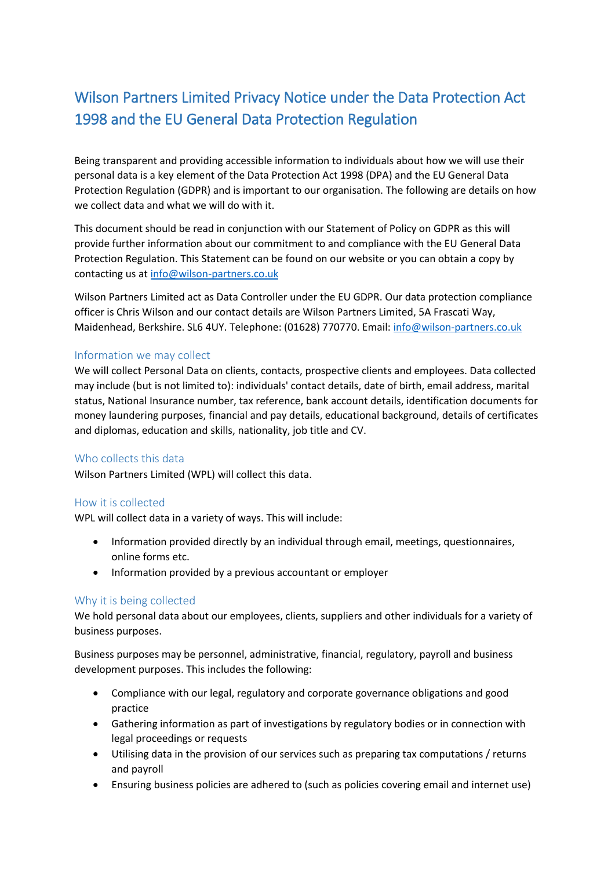# Wilson Partners Limited Privacy Notice under the Data Protection Act 1998 and the EU General Data Protection Regulation

Being transparent and providing accessible information to individuals about how we will use their personal data is a key element of the Data Protection Act 1998 (DPA) and the EU General Data Protection Regulation (GDPR) and is important to our organisation. The following are details on how we collect data and what we will do with it.

This document should be read in conjunction with our Statement of Policy on GDPR as this will provide further information about our commitment to and compliance with the EU General Data Protection Regulation. This Statement can be found on our website or you can obtain a copy by contacting us a[t info@wilson-partners.co.uk](mailto:info@wilson-partners.co.uk)

Wilson Partners Limited act as Data Controller under the EU GDPR. Our data protection compliance officer is Chris Wilson and our contact details are Wilson Partners Limited, 5A Frascati Way, Maidenhead, Berkshire. SL6 4UY. Telephone: (01628) 770770. Email: [info@wilson-partners.co.uk](mailto:info@wilson-partners.co.uk)

### Information we may collect

We will collect Personal Data on clients, contacts, prospective clients and employees. Data collected may include (but is not limited to): individuals' contact details, date of birth, email address, marital status, National Insurance number, tax reference, bank account details, identification documents for money laundering purposes, financial and pay details, educational background, details of certificates and diplomas, education and skills, nationality, job title and CV.

#### Who collects this data

Wilson Partners Limited (WPL) will collect this data.

#### How it is collected

WPL will collect data in a variety of ways. This will include:

- Information provided directly by an individual through email, meetings, questionnaires, online forms etc.
- Information provided by a previous accountant or employer

#### Why it is being collected

We hold personal data about our employees, clients, suppliers and other individuals for a variety of business purposes.

Business purposes may be personnel, administrative, financial, regulatory, payroll and business development purposes. This includes the following:

- Compliance with our legal, regulatory and corporate governance obligations and good practice
- Gathering information as part of investigations by regulatory bodies or in connection with legal proceedings or requests
- Utilising data in the provision of our services such as preparing tax computations / returns and payroll
- Ensuring business policies are adhered to (such as policies covering email and internet use)